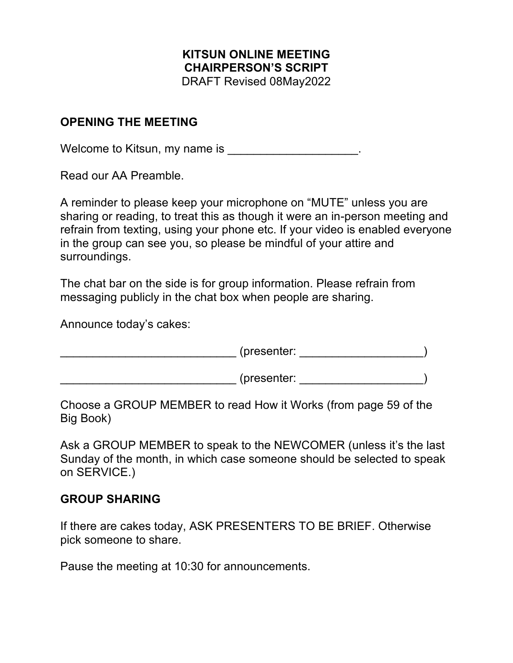### **KITSUN ONLINE MEETING CHAIRPERSON'S SCRIPT** DRAFT Revised 08May2022

#### **OPENING THE MEETING**

Welcome to Kitsun, my name is \_\_\_\_\_\_\_\_\_\_\_\_\_\_\_\_\_\_\_\_\_.

Read our AA Preamble.

A reminder to please keep your microphone on "MUTE" unless you are sharing or reading, to treat this as though it were an in-person meeting and refrain from texting, using your phone etc. If your video is enabled everyone in the group can see you, so please be mindful of your attire and surroundings.

The chat bar on the side is for group information. Please refrain from messaging publicly in the chat box when people are sharing.

Announce today's cakes:

\_\_\_\_\_\_\_\_\_\_\_\_\_\_\_\_\_\_\_\_\_\_\_\_\_\_\_ (presenter: \_\_\_\_\_\_\_\_\_\_\_\_\_\_\_\_\_\_\_)

\_\_\_\_\_\_\_\_\_\_\_\_\_\_\_\_\_\_\_\_\_\_\_\_\_\_\_ (presenter: \_\_\_\_\_\_\_\_\_\_\_\_\_\_\_\_\_\_\_)

Choose a GROUP MEMBER to read How it Works (from page 59 of the Big Book)

Ask a GROUP MEMBER to speak to the NEWCOMER (unless it's the last Sunday of the month, in which case someone should be selected to speak on SERVICE.)

### **GROUP SHARING**

If there are cakes today, ASK PRESENTERS TO BE BRIEF. Otherwise pick someone to share.

Pause the meeting at 10:30 for announcements.